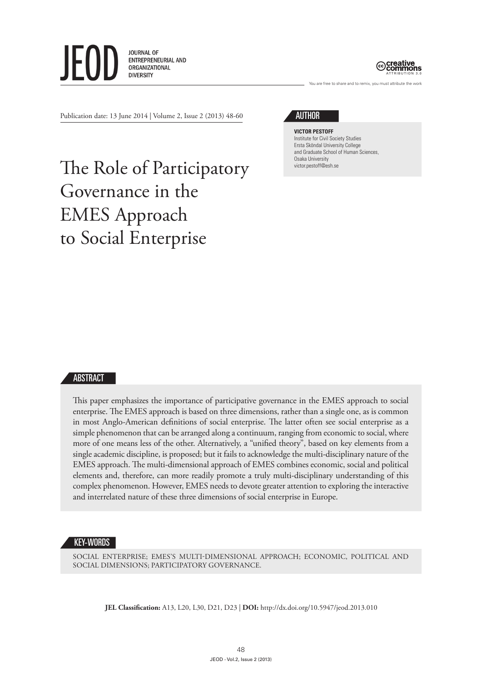



are free to share and to remix, you must attribute the work

Publication date: 13 June 2014 | Volume 2, Issue 2 (2013) 48-60

# **AUTHOR**

**Victor Pestoff** Institute for Civil Society Studies Ersta Sköndal University College and Graduate School of Human Sciences, Osaka University victor.pestoff@esh.se

# The Role of Participatory Governance in the EMES Approach to Social Enterprise

# ABSTRACT

This paper emphasizes the importance of participative governance in the EMES approach to social enterprise. The EMES approach is based on three dimensions, rather than a single one, as is common in most Anglo-American definitions of social enterprise. The latter often see social enterprise as a simple phenomenon that can be arranged along a continuum, ranging from economic to social, where more of one means less of the other. Alternatively, a "unified theory", based on key elements from a single academic discipline, is proposed; but it fails to acknowledge the multi-disciplinary nature of the EMES approach. The multi-dimensional approach of EMES combines economic, social and political elements and, therefore, can more readily promote a truly multi-disciplinary understanding of this complex phenomenon. However, EMES needs to devote greater attention to exploring the interactive and interrelated nature of these three dimensions of social enterprise in Europe.

#### KEY-WORDS

SOCIAL ENTERPRISE; EMES'S MULTI-DIMENSIONAL APPROACH; ECONOMIC, POLITICAL AND SOCIAL DIMENSIONS; PARTICIPATORY GOVERNANCE.

**JEL Classification:** A13, L20, L30, D21, D23 | **DOI:** http://dx.doi.org/10.5947/jeod.2013.010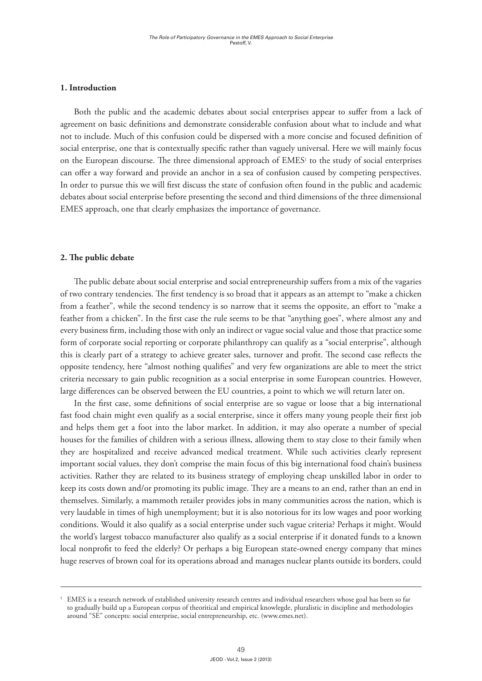# **1. Introduction**

Both the public and the academic debates about social enterprises appear to suffer from a lack of agreement on basic definitions and demonstrate considerable confusion about what to include and what not to include. Much of this confusion could be dispersed with a more concise and focused definition of social enterprise, one that is contextually specific rather than vaguely universal. Here we will mainly focus on the European discourse. The three dimensional approach of  $EMES<sup>1</sup>$  to the study of social enterprises can offer a way forward and provide an anchor in a sea of confusion caused by competing perspectives. In order to pursue this we will first discuss the state of confusion often found in the public and academic debates about social enterprise before presenting the second and third dimensions of the three dimensional EMES approach, one that clearly emphasizes the importance of governance.

# **2. The public debate**

The public debate about social enterprise and social entrepreneurship suffers from a mix of the vagaries of two contrary tendencies. The first tendency is so broad that it appears as an attempt to "make a chicken from a feather", while the second tendency is so narrow that it seems the opposite, an effort to "make a feather from a chicken". In the first case the rule seems to be that "anything goes", where almost any and every business firm, including those with only an indirect or vague social value and those that practice some form of corporate social reporting or corporate philanthropy can qualify as a "social enterprise", although this is clearly part of a strategy to achieve greater sales, turnover and profit. The second case reflects the opposite tendency, here "almost nothing qualifies" and very few organizations are able to meet the strict criteria necessary to gain public recognition as a social enterprise in some European countries. However, large differences can be observed between the EU countries, a point to which we will return later on.

In the first case, some definitions of social enterprise are so vague or loose that a big international fast food chain might even qualify as a social enterprise, since it offers many young people their first job and helps them get a foot into the labor market. In addition, it may also operate a number of special houses for the families of children with a serious illness, allowing them to stay close to their family when they are hospitalized and receive advanced medical treatment. While such activities clearly represent important social values, they don't comprise the main focus of this big international food chain's business activities. Rather they are related to its business strategy of employing cheap unskilled labor in order to keep its costs down and/or promoting its public image. They are a means to an end, rather than an end in themselves. Similarly, a mammoth retailer provides jobs in many communities across the nation, which is very laudable in times of high unemployment; but it is also notorious for its low wages and poor working conditions. Would it also qualify as a social enterprise under such vague criteria? Perhaps it might. Would the world's largest tobacco manufacturer also qualify as a social enterprise if it donated funds to a known local nonprofit to feed the elderly? Or perhaps a big European state-owned energy company that mines huge reserves of brown coal for its operations abroad and manages nuclear plants outside its borders, could

<sup>1</sup> EMES is a research network of established university research centres and individual researchers whose goal has been so far to gradually build up a European corpus of theoritical and empirical knowlegde, pluralistic in discipline and methodologies around "SE" concepts: social enterprise, social entrepreneurship, etc. (www.emes.net).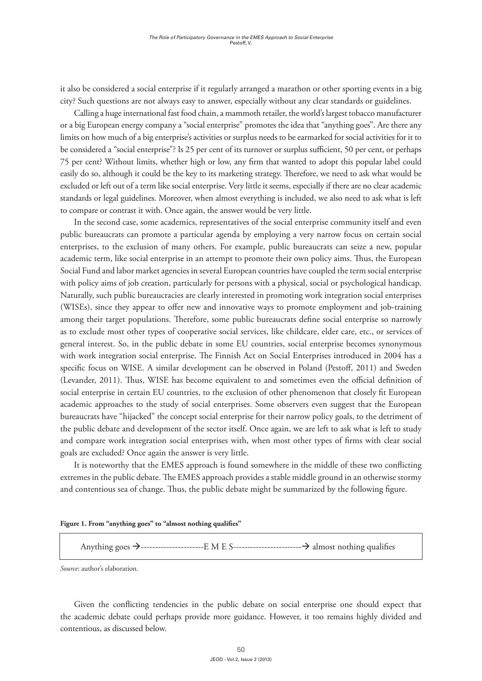it also be considered a social enterprise if it regularly arranged a marathon or other sporting events in a big city? Such questions are not always easy to answer, especially without any clear standards or guidelines.

Calling a huge international fast food chain, a mammoth retailer, the world's largest tobacco manufacturer or a big European energy company a "social enterprise" promotes the idea that "anything goes". Are there any limits on how much of a big enterprise's activities or surplus needs to be earmarked for social activities for it to be considered a "social enterprise"? Is 25 per cent of its turnover or surplus sufficient, 50 per cent, or perhaps 75 per cent? Without limits, whether high or low, any firm that wanted to adopt this popular label could easily do so, although it could be the key to its marketing strategy. Therefore, we need to ask what would be excluded or left out of a term like social enterprise. Very little it seems, especially if there are no clear academic standards or legal guidelines. Moreover, when almost everything is included, we also need to ask what is left to compare or contrast it with. Once again, the answer would be very little.

In the second case, some academics, representatives of the social enterprise community itself and even public bureaucrats can promote a particular agenda by employing a very narrow focus on certain social enterprises, to the exclusion of many others. For example, public bureaucrats can seize a new, popular academic term, like social enterprise in an attempt to promote their own policy aims. Thus, the European Social Fund and labor market agencies in several European countries have coupled the term social enterprise with policy aims of job creation, particularly for persons with a physical, social or psychological handicap. Naturally, such public bureaucracies are clearly interested in promoting work integration social enterprises (WISEs), since they appear to offer new and innovative ways to promote employment and job-training among their target populations. Therefore, some public bureaucrats define social enterprise so narrowly as to exclude most other types of cooperative social services, like childcare, elder care, etc., or services of general interest. So, in the public debate in some EU countries, social enterprise becomes synonymous with work integration social enterprise. The Finnish Act on Social Enterprises introduced in 2004 has a specific focus on WISE. A similar development can be observed in Poland (Pestoff, 2011) and Sweden (Levander, 2011). Thus, WISE has become equivalent to and sometimes even the official definition of social enterprise in certain EU countries, to the exclusion of other phenomenon that closely fit European academic approaches to the study of social enterprises. Some observers even suggest that the European bureaucrats have "hijacked" the concept social enterprise for their narrow policy goals, to the detriment of the public debate and development of the sector itself. Once again, we are left to ask what is left to study and compare work integration social enterprises with, when most other types of firms with clear social goals are excluded? Once again the answer is very little.

It is noteworthy that the EMES approach is found somewhere in the middle of these two conflicting extremes in the public debate. The EMES approach provides a stable middle ground in an otherwise stormy and contentious sea of change. Thus, the public debate might be summarized by the following figure.

**Figure 1. From "anything goes" to "almost nothing qualifies"**

Anything goes à----------------------E M E S------------------------à almost nothing qualifies

*Source*: author's elaboration.

Given the conflicting tendencies in the public debate on social enterprise one should expect that the academic debate could perhaps provide more guidance. However, it too remains highly divided and contentious, as discussed below.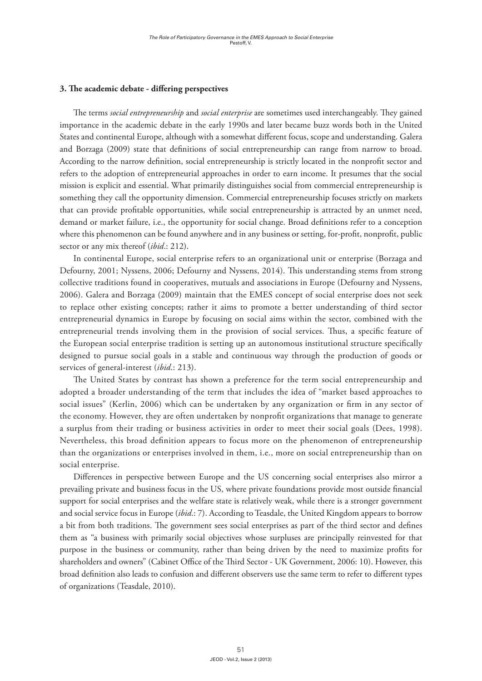### **3. The academic debate - differing perspectives**

The terms *social entrepreneurship* and *social enterprise* are sometimes used interchangeably. They gained importance in the academic debate in the early 1990s and later became buzz words both in the United States and continental Europe, although with a somewhat different focus, scope and understanding. Galera and Borzaga (2009) state that definitions of social entrepreneurship can range from narrow to broad. According to the narrow definition, social entrepreneurship is strictly located in the nonprofit sector and refers to the adoption of entrepreneurial approaches in order to earn income. It presumes that the social mission is explicit and essential. What primarily distinguishes social from commercial entrepreneurship is something they call the opportunity dimension. Commercial entrepreneurship focuses strictly on markets that can provide profitable opportunities, while social entrepreneurship is attracted by an unmet need, demand or market failure, i.e., the opportunity for social change. Broad definitions refer to a conception where this phenomenon can be found anywhere and in any business or setting, for-profit, nonprofit, public sector or any mix thereof (*ibid*.: 212).

In continental Europe, social enterprise refers to an organizational unit or enterprise (Borzaga and Defourny, 2001; Nyssens, 2006; Defourny and Nyssens, 2014). This understanding stems from strong collective traditions found in cooperatives, mutuals and associations in Europe (Defourny and Nyssens, 2006). Galera and Borzaga (2009) maintain that the EMES concept of social enterprise does not seek to replace other existing concepts; rather it aims to promote a better understanding of third sector entrepreneurial dynamics in Europe by focusing on social aims within the sector, combined with the entrepreneurial trends involving them in the provision of social services. Thus, a specific feature of the European social enterprise tradition is setting up an autonomous institutional structure specifically designed to pursue social goals in a stable and continuous way through the production of goods or services of general-interest (*ibid*.: 213).

The United States by contrast has shown a preference for the term social entrepreneurship and adopted a broader understanding of the term that includes the idea of "market based approaches to social issues" (Kerlin, 2006) which can be undertaken by any organization or firm in any sector of the economy. However, they are often undertaken by nonprofit organizations that manage to generate a surplus from their trading or business activities in order to meet their social goals (Dees, 1998). Nevertheless, this broad definition appears to focus more on the phenomenon of entrepreneurship than the organizations or enterprises involved in them, i.e., more on social entrepreneurship than on social enterprise.

Differences in perspective between Europe and the US concerning social enterprises also mirror a prevailing private and business focus in the US, where private foundations provide most outside financial support for social enterprises and the welfare state is relatively weak, while there is a stronger government and social service focus in Europe (*ibid*.: 7). According to Teasdale, the United Kingdom appears to borrow a bit from both traditions. The government sees social enterprises as part of the third sector and defines them as "a business with primarily social objectives whose surpluses are principally reinvested for that purpose in the business or community, rather than being driven by the need to maximize profits for shareholders and owners" (Cabinet Office of the Third Sector - UK Government, 2006: 10). However, this broad definition also leads to confusion and different observers use the same term to refer to different types of organizations (Teasdale, 2010).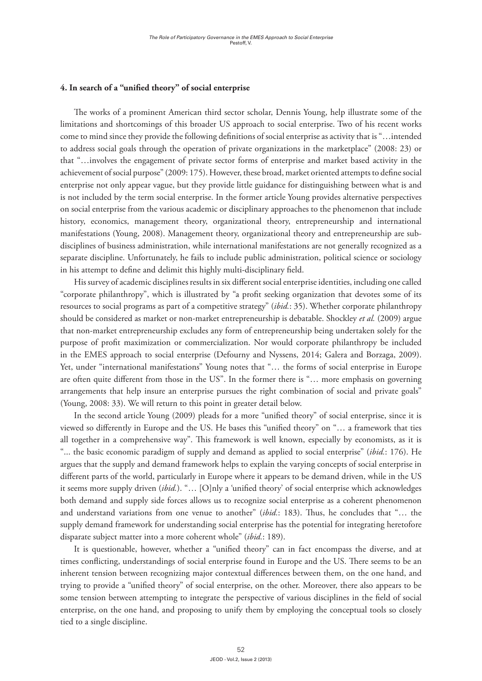#### **4. In search of a "unified theory" of social enterprise**

The works of a prominent American third sector scholar, Dennis Young, help illustrate some of the limitations and shortcomings of this broader US approach to social enterprise. Two of his recent works come to mind since they provide the following definitions of social enterprise as activity that is "…intended to address social goals through the operation of private organizations in the marketplace" (2008: 23) or that "…involves the engagement of private sector forms of enterprise and market based activity in the achievement of social purpose" (2009: 175). However, these broad, market oriented attempts to define social enterprise not only appear vague, but they provide little guidance for distinguishing between what is and is not included by the term social enterprise. In the former article Young provides alternative perspectives on social enterprise from the various academic or disciplinary approaches to the phenomenon that include history, economics, management theory, organizational theory, entrepreneurship and international manifestations (Young, 2008). Management theory, organizational theory and entrepreneurship are subdisciplines of business administration, while international manifestations are not generally recognized as a separate discipline. Unfortunately, he fails to include public administration, political science or sociology in his attempt to define and delimit this highly multi-disciplinary field.

His survey of academic disciplines results in six different social enterprise identities, including one called "corporate philanthropy", which is illustrated by "a profit seeking organization that devotes some of its resources to social programs as part of a competitive strategy" (*ibid.*: 35). Whether corporate philanthropy should be considered as market or non-market entrepreneurship is debatable. Shockley *et al.* (2009) argue that non-market entrepreneurship excludes any form of entrepreneurship being undertaken solely for the purpose of profit maximization or commercialization. Nor would corporate philanthropy be included in the EMES approach to social enterprise (Defourny and Nyssens, 2014; Galera and Borzaga, 2009). Yet, under "international manifestations" Young notes that "… the forms of social enterprise in Europe are often quite different from those in the US". In the former there is "… more emphasis on governing arrangements that help insure an enterprise pursues the right combination of social and private goals" (Young, 2008: 33). We will return to this point in greater detail below.

In the second article Young (2009) pleads for a more "unified theory" of social enterprise, since it is viewed so differently in Europe and the US. He bases this "unified theory" on "… a framework that ties all together in a comprehensive way". This framework is well known, especially by economists, as it is "... the basic economic paradigm of supply and demand as applied to social enterprise" (*ibid.*: 176). He argues that the supply and demand framework helps to explain the varying concepts of social enterprise in different parts of the world, particularly in Europe where it appears to be demand driven, while in the US it seems more supply driven (*ibid.*). "… [O]nly a 'unified theory' of social enterprise which acknowledges both demand and supply side forces allows us to recognize social enterprise as a coherent phenomenon and understand variations from one venue to another" (*ibid.*: 183). Thus, he concludes that "… the supply demand framework for understanding social enterprise has the potential for integrating heretofore disparate subject matter into a more coherent whole" (*ibid.*: 189).

It is questionable, however, whether a "unified theory" can in fact encompass the diverse, and at times conflicting, understandings of social enterprise found in Europe and the US. There seems to be an inherent tension between recognizing major contextual differences between them, on the one hand, and trying to provide a "unified theory" of social enterprise, on the other. Moreover, there also appears to be some tension between attempting to integrate the perspective of various disciplines in the field of social enterprise, on the one hand, and proposing to unify them by employing the conceptual tools so closely tied to a single discipline.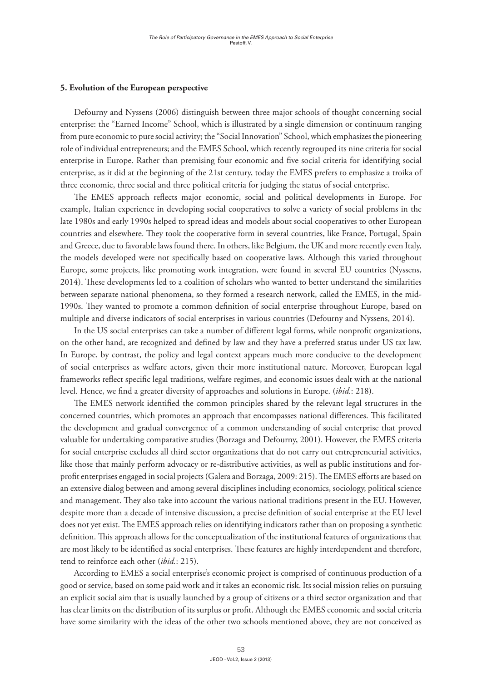# **5. Evolution of the European perspective**

Defourny and Nyssens (2006) distinguish between three major schools of thought concerning social enterprise: the "Earned Income" School, which is illustrated by a single dimension or continuum ranging from pure economic to pure social activity; the "Social Innovation" School, which emphasizes the pioneering role of individual entrepreneurs; and the EMES School, which recently regrouped its nine criteria for social enterprise in Europe. Rather than premising four economic and five social criteria for identifying social enterprise, as it did at the beginning of the 21st century, today the EMES prefers to emphasize a troika of three economic, three social and three political criteria for judging the status of social enterprise.

The EMES approach reflects major economic, social and political developments in Europe. For example, Italian experience in developing social cooperatives to solve a variety of social problems in the late 1980s and early 1990s helped to spread ideas and models about social cooperatives to other European countries and elsewhere. They took the cooperative form in several countries, like France, Portugal, Spain and Greece, due to favorable laws found there. In others, like Belgium, the UK and more recently even Italy, the models developed were not specifically based on cooperative laws. Although this varied throughout Europe, some projects, like promoting work integration, were found in several EU countries (Nyssens, 2014). These developments led to a coalition of scholars who wanted to better understand the similarities between separate national phenomena, so they formed a research network, called the EMES, in the mid-1990s. They wanted to promote a common definition of social enterprise throughout Europe, based on multiple and diverse indicators of social enterprises in various countries (Defourny and Nyssens, 2014).

In the US social enterprises can take a number of different legal forms, while nonprofit organizations, on the other hand, are recognized and defined by law and they have a preferred status under US tax law. In Europe, by contrast, the policy and legal context appears much more conducive to the development of social enterprises as welfare actors, given their more institutional nature. Moreover, European legal frameworks reflect specific legal traditions, welfare regimes, and economic issues dealt with at the national level. Hence, we find a greater diversity of approaches and solutions in Europe. (*ibid.*: 218).

The EMES network identified the common principles shared by the relevant legal structures in the concerned countries, which promotes an approach that encompasses national differences. This facilitated the development and gradual convergence of a common understanding of social enterprise that proved valuable for undertaking comparative studies (Borzaga and Defourny, 2001). However, the EMES criteria for social enterprise excludes all third sector organizations that do not carry out entrepreneurial activities, like those that mainly perform advocacy or re-distributive activities, as well as public institutions and forprofit enterprises engaged in social projects (Galera and Borzaga, 2009: 215). The EMES efforts are based on an extensive dialog between and among several disciplines including economics, sociology, political science and management. They also take into account the various national traditions present in the EU. However, despite more than a decade of intensive discussion, a precise definition of social enterprise at the EU level does not yet exist. The EMES approach relies on identifying indicators rather than on proposing a synthetic definition. This approach allows for the conceptualization of the institutional features of organizations that are most likely to be identified as social enterprises. These features are highly interdependent and therefore, tend to reinforce each other (*ibid.*: 215).

According to EMES a social enterprise's economic project is comprised of continuous production of a good or service, based on some paid work and it takes an economic risk. Its social mission relies on pursuing an explicit social aim that is usually launched by a group of citizens or a third sector organization and that has clear limits on the distribution of its surplus or profit. Although the EMES economic and social criteria have some similarity with the ideas of the other two schools mentioned above, they are not conceived as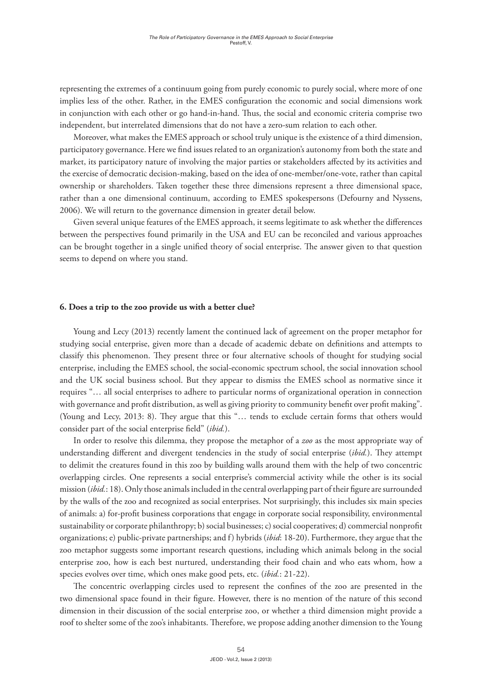representing the extremes of a continuum going from purely economic to purely social, where more of one implies less of the other. Rather, in the EMES configuration the economic and social dimensions work in conjunction with each other or go hand-in-hand. Thus, the social and economic criteria comprise two independent, but interrelated dimensions that do not have a zero-sum relation to each other.

Moreover, what makes the EMES approach or school truly unique is the existence of a third dimension, participatory governance. Here we find issues related to an organization's autonomy from both the state and market, its participatory nature of involving the major parties or stakeholders affected by its activities and the exercise of democratic decision-making, based on the idea of one-member/one-vote, rather than capital ownership or shareholders. Taken together these three dimensions represent a three dimensional space, rather than a one dimensional continuum, according to EMES spokespersons (Defourny and Nyssens, 2006). We will return to the governance dimension in greater detail below.

Given several unique features of the EMES approach, it seems legitimate to ask whether the differences between the perspectives found primarily in the USA and EU can be reconciled and various approaches can be brought together in a single unified theory of social enterprise. The answer given to that question seems to depend on where you stand.

#### **6. Does a trip to the zoo provide us with a better clue?**

Young and Lecy (2013) recently lament the continued lack of agreement on the proper metaphor for studying social enterprise, given more than a decade of academic debate on definitions and attempts to classify this phenomenon. They present three or four alternative schools of thought for studying social enterprise, including the EMES school, the social-economic spectrum school, the social innovation school and the UK social business school. But they appear to dismiss the EMES school as normative since it requires "… all social enterprises to adhere to particular norms of organizational operation in connection with governance and profit distribution, as well as giving priority to community benefit over profit making". (Young and Lecy, 2013: 8). They argue that this "… tends to exclude certain forms that others would consider part of the social enterprise field" (*ibid.*).

In order to resolve this dilemma, they propose the metaphor of a *zoo* as the most appropriate way of understanding different and divergent tendencies in the study of social enterprise (*ibid.*). They attempt to delimit the creatures found in this zoo by building walls around them with the help of two concentric overlapping circles. One represents a social enterprise's commercial activity while the other is its social mission (*ibid.*: 18). Only those animals included in the central overlapping part of their figure are surrounded by the walls of the zoo and recognized as social enterprises. Not surprisingly, this includes six main species of animals: a) for-profit business corporations that engage in corporate social responsibility, environmental sustainability or corporate philanthropy; b) social businesses; c) social cooperatives; d) commercial nonprofit organizations; e) public-private partnerships; and f) hybrids (*ibid*: 18-20). Furthermore, they argue that the zoo metaphor suggests some important research questions, including which animals belong in the social enterprise zoo, how is each best nurtured, understanding their food chain and who eats whom, how a species evolves over time, which ones make good pets, etc. (*ibid.*: 21-22).

The concentric overlapping circles used to represent the confines of the zoo are presented in the two dimensional space found in their figure. However, there is no mention of the nature of this second dimension in their discussion of the social enterprise zoo, or whether a third dimension might provide a roof to shelter some of the zoo's inhabitants. Therefore, we propose adding another dimension to the Young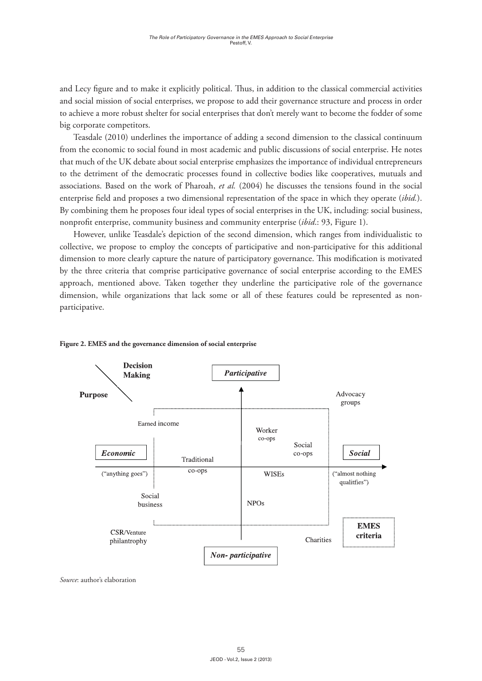and Lecy figure and to make it explicitly political. Thus, in addition to the classical commercial activities and social mission of social enterprises, we propose to add their governance structure and process in order to achieve a more robust shelter for social enterprises that don't merely want to become the fodder of some big corporate competitors.

Teasdale (2010) underlines the importance of adding a second dimension to the classical continuum from the economic to social found in most academic and public discussions of social enterprise. He notes that much of the UK debate about social enterprise emphasizes the importance of individual entrepreneurs to the detriment of the democratic processes found in collective bodies like cooperatives, mutuals and associations. Based on the work of Pharoah, *et al.* (2004) he discusses the tensions found in the social enterprise field and proposes a two dimensional representation of the space in which they operate (*ibid.*). By combining them he proposes four ideal types of social enterprises in the UK, including: social business, nonprofit enterprise, community business and community enterprise (*ibid*.: 93, Figure 1).

However, unlike Teasdale's depiction of the second dimension, which ranges from individualistic to collective, we propose to employ the concepts of participative and non-participative for this additional dimension to more clearly capture the nature of participatory governance. This modification is motivated by the three criteria that comprise participative governance of social enterprise according to the EMES approach, mentioned above. Taken together they underline the participative role of the governance dimension, while organizations that lack some or all of these features could be represented as nonparticipative.



# **Figure 2. EMES and the governance dimension of social enterprise**

*Source*: author's elaboration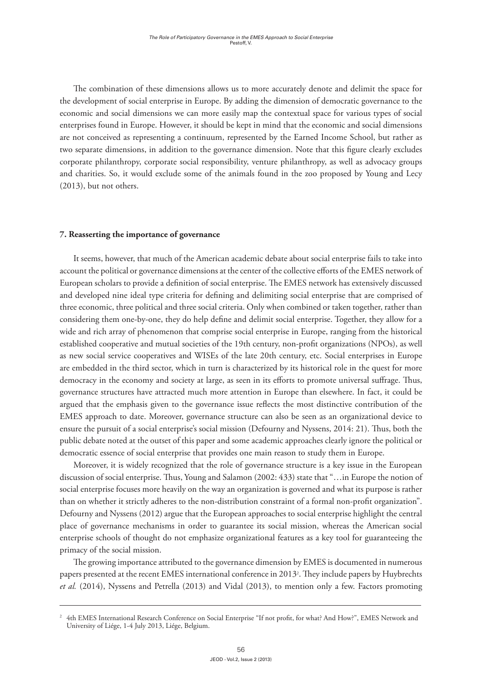The combination of these dimensions allows us to more accurately denote and delimit the space for the development of social enterprise in Europe. By adding the dimension of democratic governance to the economic and social dimensions we can more easily map the contextual space for various types of social enterprises found in Europe. However, it should be kept in mind that the economic and social dimensions are not conceived as representing a continuum, represented by the Earned Income School, but rather as two separate dimensions, in addition to the governance dimension. Note that this figure clearly excludes corporate philanthropy, corporate social responsibility, venture philanthropy, as well as advocacy groups and charities. So, it would exclude some of the animals found in the zoo proposed by Young and Lecy (2013), but not others.

# **7. Reasserting the importance of governance**

It seems, however, that much of the American academic debate about social enterprise fails to take into account the political or governance dimensions at the center of the collective efforts of the EMES network of European scholars to provide a definition of social enterprise. The EMES network has extensively discussed and developed nine ideal type criteria for defining and delimiting social enterprise that are comprised of three economic, three political and three social criteria. Only when combined or taken together, rather than considering them one-by-one, they do help define and delimit social enterprise. Together, they allow for a wide and rich array of phenomenon that comprise social enterprise in Europe, ranging from the historical established cooperative and mutual societies of the 19th century, non-profit organizations (NPOs), as well as new social service cooperatives and WISEs of the late 20th century, etc. Social enterprises in Europe are embedded in the third sector, which in turn is characterized by its historical role in the quest for more democracy in the economy and society at large, as seen in its efforts to promote universal suffrage. Thus, governance structures have attracted much more attention in Europe than elsewhere. In fact, it could be argued that the emphasis given to the governance issue reflects the most distinctive contribution of the EMES approach to date. Moreover, governance structure can also be seen as an organizational device to ensure the pursuit of a social enterprise's social mission (Defourny and Nyssens, 2014: 21). Thus, both the public debate noted at the outset of this paper and some academic approaches clearly ignore the political or democratic essence of social enterprise that provides one main reason to study them in Europe.

Moreover, it is widely recognized that the role of governance structure is a key issue in the European discussion of social enterprise. Thus, Young and Salamon (2002: 433) state that "…in Europe the notion of social enterprise focuses more heavily on the way an organization is governed and what its purpose is rather than on whether it strictly adheres to the non-distribution constraint of a formal non-profit organization". Defourny and Nyssens (2012) argue that the European approaches to social enterprise highlight the central place of governance mechanisms in order to guarantee its social mission, whereas the American social enterprise schools of thought do not emphasize organizational features as a key tool for guaranteeing the primacy of the social mission.

The growing importance attributed to the governance dimension by EMES is documented in numerous papers presented at the recent EMES international conference in 20132 . They include papers by Huybrechts *et al.* (2014), Nyssens and Petrella (2013) and Vidal (2013), to mention only a few. Factors promoting

<sup>2</sup> 4th EMES International Research Conference on Social Enterprise "If not profit, for what? And How?", EMES Network and University of Liége, 1-4 July 2013, Liége, Belgium.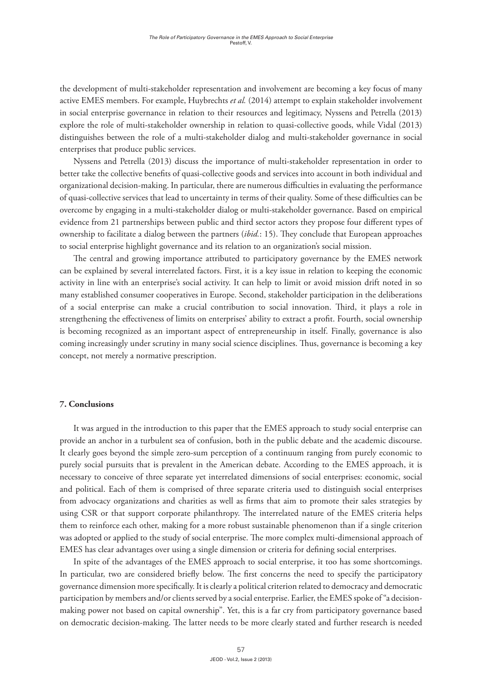the development of multi-stakeholder representation and involvement are becoming a key focus of many active EMES members. For example, Huybrechts *et al.* (2014) attempt to explain stakeholder involvement in social enterprise governance in relation to their resources and legitimacy, Nyssens and Petrella (2013) explore the role of multi-stakeholder ownership in relation to quasi-collective goods, while Vidal (2013) distinguishes between the role of a multi-stakeholder dialog and multi-stakeholder governance in social enterprises that produce public services.

Nyssens and Petrella (2013) discuss the importance of multi-stakeholder representation in order to better take the collective benefits of quasi-collective goods and services into account in both individual and organizational decision-making. In particular, there are numerous difficulties in evaluating the performance of quasi-collective services that lead to uncertainty in terms of their quality. Some of these difficulties can be overcome by engaging in a multi-stakeholder dialog or multi-stakeholder governance. Based on empirical evidence from 21 partnerships between public and third sector actors they propose four different types of ownership to facilitate a dialog between the partners (*ibid.*: 15). They conclude that European approaches to social enterprise highlight governance and its relation to an organization's social mission.

The central and growing importance attributed to participatory governance by the EMES network can be explained by several interrelated factors. First, it is a key issue in relation to keeping the economic activity in line with an enterprise's social activity. It can help to limit or avoid mission drift noted in so many established consumer cooperatives in Europe. Second, stakeholder participation in the deliberations of a social enterprise can make a crucial contribution to social innovation. Third, it plays a role in strengthening the effectiveness of limits on enterprises' ability to extract a profit. Fourth, social ownership is becoming recognized as an important aspect of entrepreneurship in itself. Finally, governance is also coming increasingly under scrutiny in many social science disciplines. Thus, governance is becoming a key concept, not merely a normative prescription.

### **7. Conclusions**

It was argued in the introduction to this paper that the EMES approach to study social enterprise can provide an anchor in a turbulent sea of confusion, both in the public debate and the academic discourse. It clearly goes beyond the simple zero-sum perception of a continuum ranging from purely economic to purely social pursuits that is prevalent in the American debate. According to the EMES approach, it is necessary to conceive of three separate yet interrelated dimensions of social enterprises: economic, social and political. Each of them is comprised of three separate criteria used to distinguish social enterprises from advocacy organizations and charities as well as firms that aim to promote their sales strategies by using CSR or that support corporate philanthropy. The interrelated nature of the EMES criteria helps them to reinforce each other, making for a more robust sustainable phenomenon than if a single criterion was adopted or applied to the study of social enterprise. The more complex multi-dimensional approach of EMES has clear advantages over using a single dimension or criteria for defining social enterprises.

In spite of the advantages of the EMES approach to social enterprise, it too has some shortcomings. In particular, two are considered briefly below. The first concerns the need to specify the participatory governance dimension more specifically. It is clearly a political criterion related to democracy and democratic participation by members and/or clients served by a social enterprise. Earlier, the EMES spoke of "a decisionmaking power not based on capital ownership". Yet, this is a far cry from participatory governance based on democratic decision-making. The latter needs to be more clearly stated and further research is needed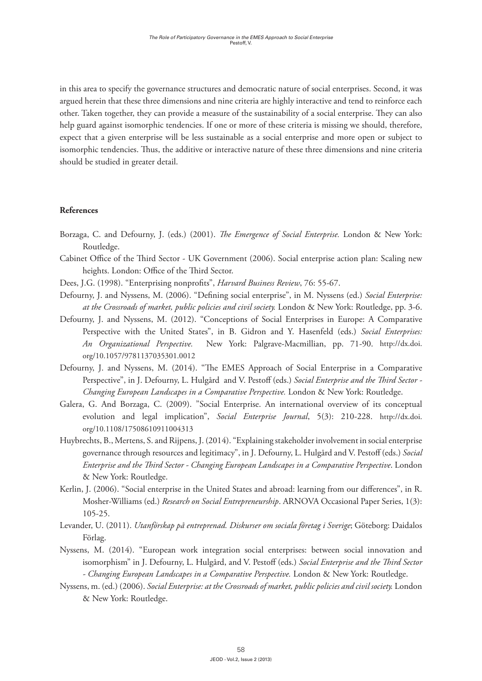in this area to specify the governance structures and democratic nature of social enterprises. Second, it was argued herein that these three dimensions and nine criteria are highly interactive and tend to reinforce each other. Taken together, they can provide a measure of the sustainability of a social enterprise. They can also help guard against isomorphic tendencies. If one or more of these criteria is missing we should, therefore, expect that a given enterprise will be less sustainable as a social enterprise and more open or subject to isomorphic tendencies. Thus, the additive or interactive nature of these three dimensions and nine criteria should be studied in greater detail.

# **References**

- Borzaga, C. and Defourny, J. (eds.) (2001). *The Emergence of Social Enterprise.* London & New York: Routledge.
- Cabinet Office of the Third Sector UK Government (2006). Social enterprise action plan: Scaling new heights. London: Office of the Third Sector.
- Dees, J.G. (1998). "Enterprising nonprofits", *Harvard Business Review*, 76: 55-67.
- Defourny, J. and Nyssens, M. (2006). "Defining social enterprise", in M. Nyssens (ed.) *Social Enterprise: at the Crossroads of market, public policies and civil society.* London & New York: Routledge, pp. 3-6.
- Defourny, J. and Nyssens, M. (2012). "Conceptions of Social Enterprises in Europe: A Comparative Perspective with the United States", in B. Gidron and Y. Hasenfeld (eds.) *Social Enterprises: An Organizational Perspective.* New York: Palgrave-Macmillian, pp. 71-90. http://dx.doi. org/10.1057/9781137035301.0012
- Defourny, J. and Nyssens, M. (2014). "The EMES Approach of Social Enterprise in a Comparative Perspective", in J. Defourny, L. Hulgård and V. Pestoff (eds.) *Social Enterprise and the Third Sector - Changing European Landscapes in a Comparative Perspective.* London & New York: Routledge.
- Galera, G. And Borzaga, C. (2009). "Social Enterprise. An international overview of its conceptual evolution and legal implication", *Social Enterprise Journal*, 5(3): 210-228. http://dx.doi. org/10.1108/17508610911004313
- Huybrechts, B., Mertens, S. and Rijpens, J. (2014). "Explaining stakeholder involvement in social enterprise governance through resources and legitimacy", in J. Defourny, L. Hulgård and V. Pestoff (eds.) *Social Enterprise and the Third Sector - Changing European Landscapes in a Comparative Perspective*. London & New York: Routledge.
- Kerlin, J. (2006). "Social enterprise in the United States and abroad: learning from our differences", in R. Mosher-Williams (ed.) *Research on Social Entrepreneurship*. ARNOVA Occasional Paper Series, 1(3): 105-25.
- Levander, U. (2011). *Utanförskap på entreprenad. Diskurser om sociala företag i Sverige*; Göteborg: Daidalos Förlag.
- Nyssens, M. (2014). "European work integration social enterprises: between social innovation and isomorphism" in J. Defourny, L. Hulgård, and V. Pestoff (eds.) *Social Enterprise and the Third Sector - Changing European Landscapes in a Comparative Perspective.* London & New York: Routledge.
- Nyssens, m. (ed.) (2006). *Social Enterprise: at the Crossroads of market, public policies and civil society.* London & New York: Routledge.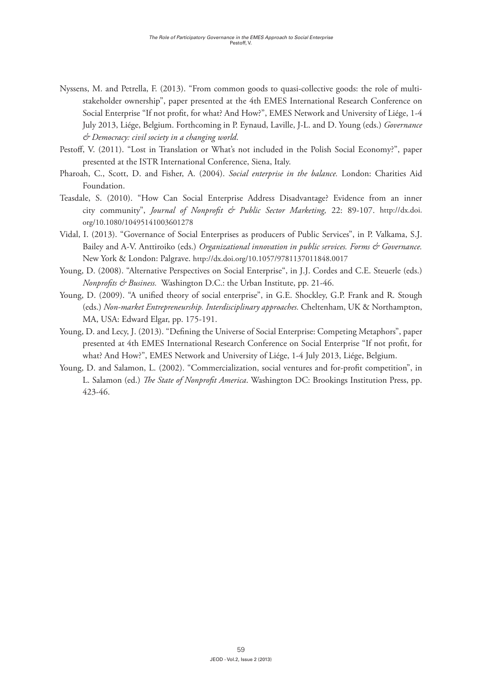- Nyssens, M. and Petrella, F. (2013). "From common goods to quasi-collective goods: the role of multistakeholder ownership", paper presented at the 4th EMES International Research Conference on Social Enterprise "If not profit, for what? And How?", EMES Network and University of Liége, 1-4 July 2013, Liége, Belgium. Forthcoming in P. Eynaud, Laville, J-L. and D. Young (eds.) *Governance & Democracy: civil society in a changing world*.
- Pestoff, V. (2011). "Lost in Translation or What's not included in the Polish Social Economy?", paper presented at the ISTR International Conference, Siena, Italy.
- Pharoah, C., Scott, D. and Fisher, A. (2004). *Social enterprise in the balance.* London: Charities Aid Foundation.
- Teasdale, S. (2010). "How Can Social Enterprise Address Disadvantage? Evidence from an inner city community", *Journal of Nonprofit & Public Sector Marketing,* 22: 89-107. http://dx.doi. org/10.1080/10495141003601278
- Vidal, I. (2013). "Governance of Social Enterprises as producers of Public Services", in P. Valkama, S.J. Bailey and A-V. Anttiroiko (eds.) *Organizational innovation in public services. Forms & Governance*. New York & London: Palgrave. http://dx.doi.org/10.1057/9781137011848.0017
- Young, D. (2008). "Alternative Perspectives on Social Enterprise", in J.J. Cordes and C.E. Steuerle (eds.) *Nonprofits & Business.* Washington D.C.: the Urban Institute, pp. 21-46.
- Young, D. (2009). "A unified theory of social enterprise", in G.E. Shockley, G.P. Frank and R. Stough (eds.) *Non-market Entrepreneurship. Interdisciplinary approaches.* Cheltenham, UK & Northampton, MA, USA: Edward Elgar, pp. 175-191.
- Young, D. and Lecy, J. (2013). "Defining the Universe of Social Enterprise: Competing Metaphors", paper presented at 4th EMES International Research Conference on Social Enterprise "If not profit, for what? And How?", EMES Network and University of Liége, 1-4 July 2013, Liége, Belgium.
- Young, D. and Salamon, L. (2002). "Commercialization, social ventures and for-profit competition", in L. Salamon (ed.) *The State of Nonprofit America*. Washington DC: Brookings Institution Press, pp. 423-46.